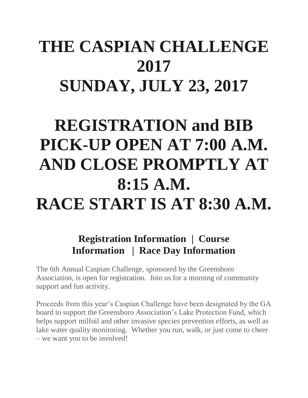### **THE CASPIAN CHALLENGE 2017 SUNDAY, JULY 23, 2017**

## **REGISTRATION and BIB PICK-UP OPEN AT 7:00 A.M. AND CLOSE PROMPTLY AT 8:15 A.M. RACE START IS AT 8:30 A.M.**

### **Registration Information | Course Information | Race Day Information**

The 6th Annual Caspian Challenge, sponsored by the Greensboro Association, is open for registration. Join us for a morning of community support and fun activity.

Proceeds from this year's Caspian Challenge have been designated by the GA board to support the Greensboro Association's Lake Protection Fund, which helps support milfoil and other invasive species prevention efforts, as well as lake water quality monitoring. Whether you run, walk, or just come to cheer – we want you to be involved!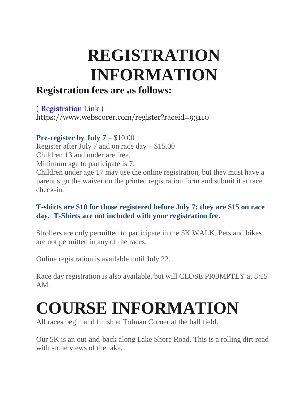## **REGISTRATION INFORMATION**

### **Registration fees are as follows:**

( [Registration Link](https://www.webscorer.com/register?raceid=93110) ) https://www.webscorer.com/register?raceid=93110

**Pre-register by July 7** – \$10.00

Register after July 7 and on race day – \$15.00

Children 13 and under are free.

Minimum age to participate is 7.

Children under age 17 may use the online registration, but they must have a parent sign the waiver on the printed registration form and submit it at race check-in.

#### **T-shirts are \$10 for those registered before July 7; they are \$15 on race day. T-Shirts are not included with your registration fee.**

Strollers are only permitted to participate in the 5K WALK. Pets and bikes are not permitted in any of the races.

Online registration is available until July 22.

Race day registration is also available, but will CLOSE PROMPTLY at 8:15 AM.

# **COURSE INFORMATION**

All races begin and finish at Tolman Corner at the ball field.

Our 5K is an out-and-back along Lake Shore Road. This is a rolling dirt road with some views of the lake.